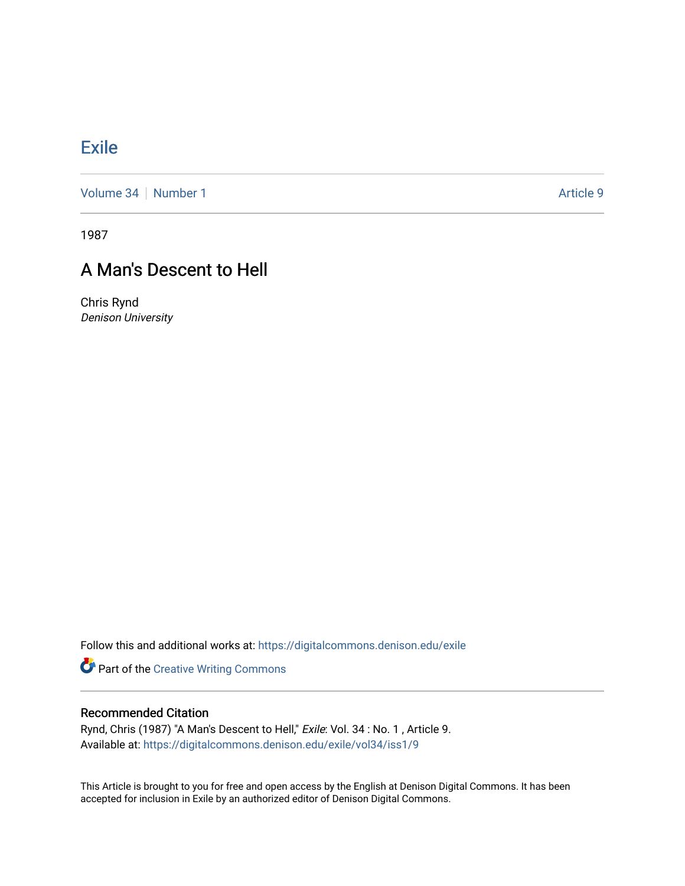## **[Exile](https://digitalcommons.denison.edu/exile)**

[Volume 34](https://digitalcommons.denison.edu/exile/vol34) [Number 1](https://digitalcommons.denison.edu/exile/vol34/iss1) Article 9

1987

## A Man's Descent to Hell

Chris Rynd Denison University

Follow this and additional works at: [https://digitalcommons.denison.edu/exile](https://digitalcommons.denison.edu/exile?utm_source=digitalcommons.denison.edu%2Fexile%2Fvol34%2Fiss1%2F9&utm_medium=PDF&utm_campaign=PDFCoverPages) 

Part of the [Creative Writing Commons](http://network.bepress.com/hgg/discipline/574?utm_source=digitalcommons.denison.edu%2Fexile%2Fvol34%2Fiss1%2F9&utm_medium=PDF&utm_campaign=PDFCoverPages) 

## Recommended Citation

Rynd, Chris (1987) "A Man's Descent to Hell," Exile: Vol. 34 : No. 1, Article 9. Available at: [https://digitalcommons.denison.edu/exile/vol34/iss1/9](https://digitalcommons.denison.edu/exile/vol34/iss1/9?utm_source=digitalcommons.denison.edu%2Fexile%2Fvol34%2Fiss1%2F9&utm_medium=PDF&utm_campaign=PDFCoverPages) 

This Article is brought to you for free and open access by the English at Denison Digital Commons. It has been accepted for inclusion in Exile by an authorized editor of Denison Digital Commons.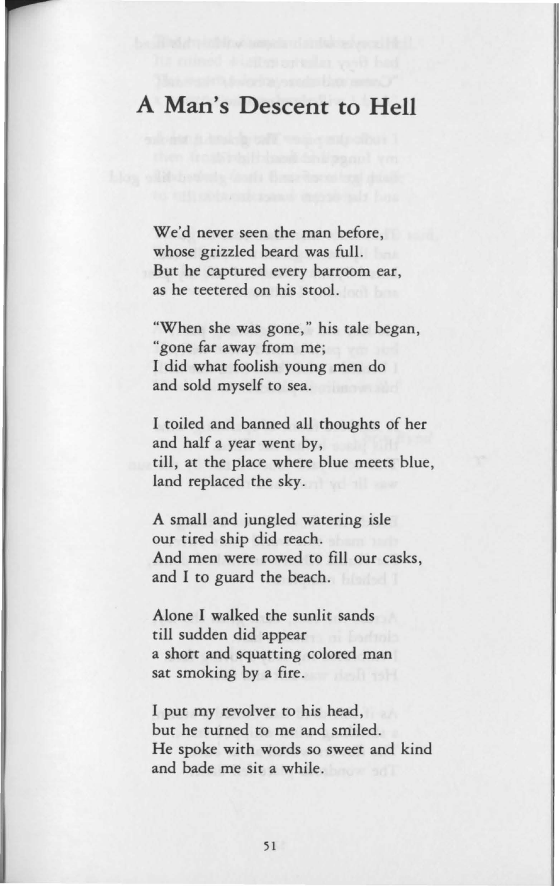## **A Man's Descent to Hell**

We'd never seen the man before, whose grizzled beard was full. But he captured every barroom ear, as he teetered on his stool.

"When she was gone," his tale began, "gone far away from me; I did what foolish young men do and sold myself to sea.

I toiled and banned all thoughts of her and half a year went by, till, at the place where blue meets blue, land replaced the sky.

A small and jungled watering isle our tired ship did reach. And men were rowed to fill our casks, and I to guard the beach.

Alone I walked the sunlit sands till sudden did appear a short and squatting colored man sat smoking by a fire.

I put my revolver to his head, but he turned to me and smiled. He spoke with words so sweet and kind and bade me sit a while.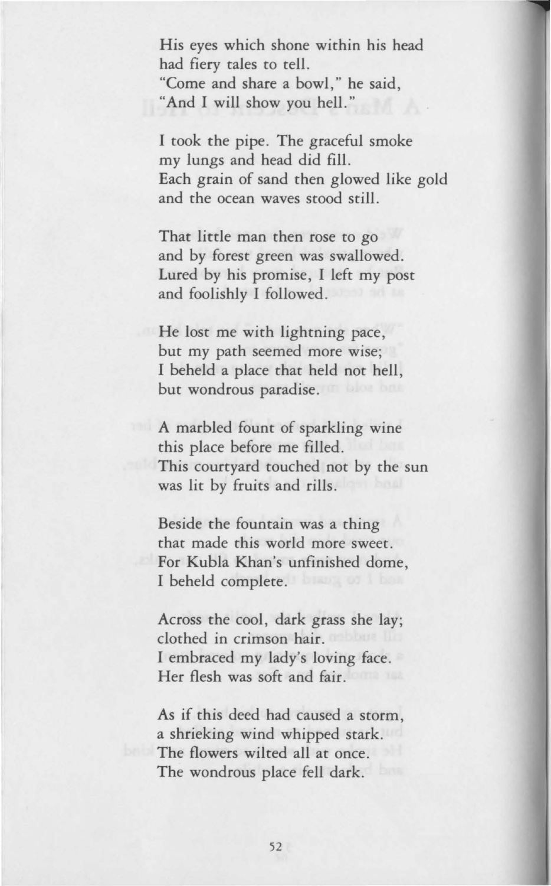His eyes which shone within his head had fiery tales to tell. "Come and share a bowl," he said, "And I will show you hell."

I took the pipe. The graceful smoke my lungs and head did fill. Each grain of sand then glowed like gold and the ocean waves stood still.

That little man then rose to go and by forest green was swallowed. Lured by his promise, I left my post and foolishly I followed.

He lost me with lightning pace, but my path seemed more wise; I beheld a place that held not hell, but wondrous paradise.

A marbled fount of sparkling wine this place before me filled. This courtyard touched not by the sun was lit by fruits and rills.

Beside the fountain was a thing that made this world more sweet. For Kubla Khan's unfinished dome, I beheld complete.

Across the cool, dark grass she lay; clothed in crimson hair. I embraced my lady's loving face. Her flesh was soft and fair.

As if this deed had caused a storm, a shrieking wind whipped stark. The flowers wilted all at once. The wondrous place fell dark.